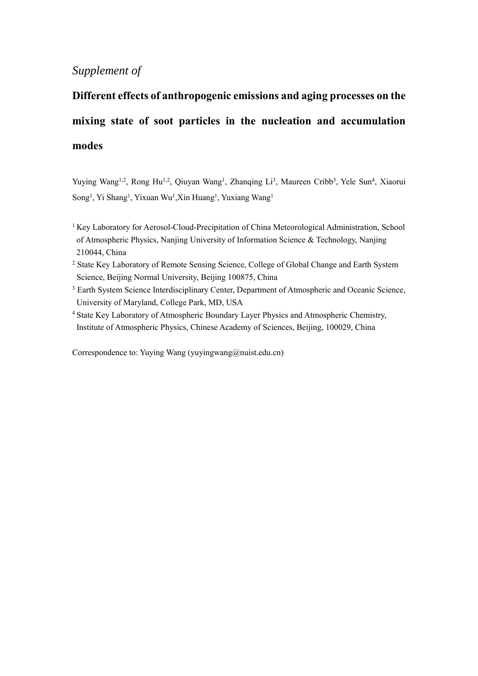## *Supplement of*

## **Different effects of anthropogenic emissions and aging processes on the mixing state of soot particles in the nucleation and accumulation modes**

Yuying Wang<sup>1,2</sup>, Rong Hu<sup>1,2</sup>, Qiuyan Wang<sup>1</sup>, Zhanqing Li<sup>3</sup>, Maureen Cribb<sup>3</sup>, Yele Sun<sup>4</sup>, Xiaorui Song<sup>1</sup>, Yi Shang<sup>1</sup>, Yixuan Wu<sup>1</sup>, Xin Huang<sup>1</sup>, Yuxiang Wang<sup>1</sup>

- <sup>1</sup> Key Laboratory for Aerosol-Cloud-Precipitation of China Meteorological Administration, School of Atmospheric Physics, Nanjing University of Information Science & Technology, Nanjing 210044, China
- <sup>2</sup> State Key Laboratory of Remote Sensing Science, College of Global Change and Earth System Science, Beijing Normal University, Beijing 100875, China
- <sup>3</sup> Earth System Science Interdisciplinary Center, Department of Atmospheric and Oceanic Science, University of Maryland, College Park, MD, USA
- <sup>4</sup> State Key Laboratory of Atmospheric Boundary Layer Physics and Atmospheric Chemistry, Institute of Atmospheric Physics, Chinese Academy of Sciences, Beijing, 100029, China

Correspondence to: Yuying Wang [\(yuyingwang@nuist.edu.cn\)](mailto:yuyingwang@nuist.edu.cn)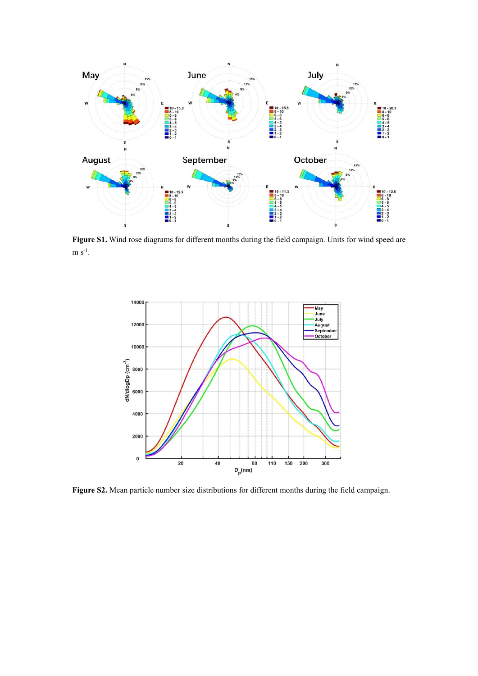

**Figure S1.** Wind rose diagrams for different months during the field campaign. Units for wind speed are  $m s<sup>-1</sup>$ .



**Figure S2.** Mean particle number size distributions for different months during the field campaign.